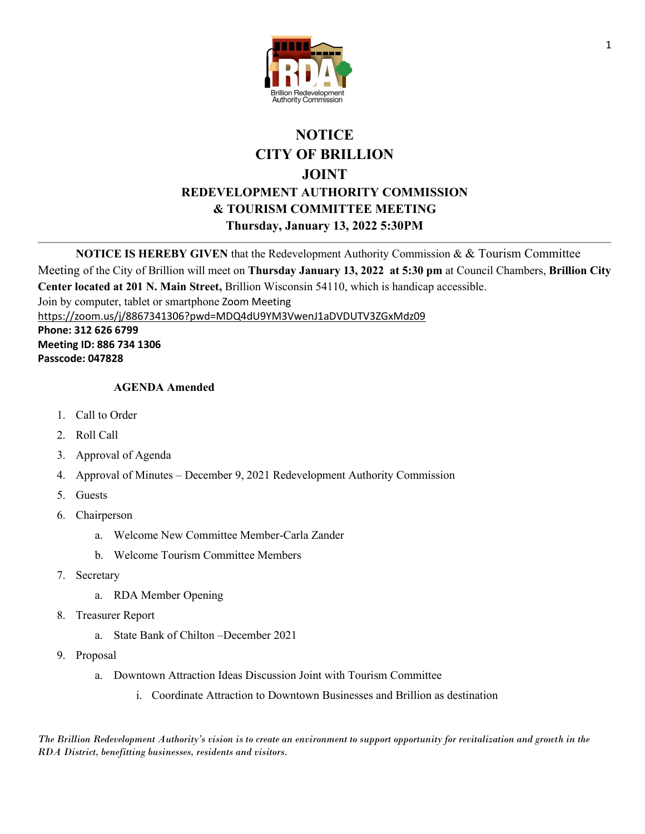

## **NOTICE CITY OF BRILLION JOINT REDEVELOPMENT AUTHORITY COMMISSION & TOURISM COMMITTEE MEETING Thursday, January 13, 2022 5:30PM**

**NOTICE IS HEREBY GIVEN** that the Redevelopment Authority Commission & & Tourism Committee

Meeting of the City of Brillion will meet on **Thursday January 13, 2022 at 5:30 pm** at Council Chambers, **Brillion City Center located at 201 N. Main Street,** Brillion Wisconsin 54110, which is handicap accessible. Join by computer, tablet or smartphone Zoom Meeting

<https://zoom.us/j/8867341306?pwd=MDQ4dU9YM3VwenJ1aDVDUTV3ZGxMdz09>

**Phone: 312 626 6799 Meeting ID: 886 734 1306 Passcode: 047828**

## **AGENDA Amended**

- 1. Call to Order
- 2. Roll Call
- 3. Approval of Agenda
- 4. Approval of Minutes December 9, 2021 Redevelopment Authority Commission
- 5. Guests
- 6. Chairperson
	- a. Welcome New Committee Member-Carla Zander
	- b. Welcome Tourism Committee Members
- 7. Secretary
	- a. RDA Member Opening
- 8. Treasurer Report
	- a. State Bank of Chilton –December 2021
- 9. Proposal
	- a. Downtown Attraction Ideas Discussion Joint with Tourism Committee
		- i. Coordinate Attraction to Downtown Businesses and Brillion as destination

*The Brillion Redevelopment Authority's vision is to create an environment to support opportunity for revitalization and growth in the RDA District, benefitting businesses, residents and visitors.*